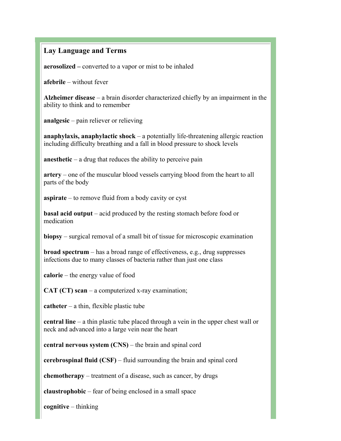## **Lay Language and Terms**

**aerosolized –** converted to a vapor or mist to be inhaled

**afebrile** – without fever

**Alzheimer disease** – a brain disorder characterized chiefly by an impairment in the ability to think and to remember

**analgesic** – pain reliever or relieving

**anaphylaxis, anaphylactic shock** – a potentially life-threatening allergic reaction including difficulty breathing and a fall in blood pressure to shock levels

**anesthetic** – a drug that reduces the ability to perceive pain

**artery** – one of the muscular blood vessels carrying blood from the heart to all parts of the body

**aspirate** – to remove fluid from a body cavity or cyst

**basal acid output** – acid produced by the resting stomach before food or medication

**biopsy** – surgical removal of a small bit of tissue for microscopic examination

**broad spectrum** – has a broad range of effectiveness, e.g., drug suppresses infections due to many classes of bacteria rather than just one class

**calorie** – the energy value of food

**CAT (CT) scan** – a computerized x-ray examination;

**catheter** – a thin, flexible plastic tube

**central line** – a thin plastic tube placed through a vein in the upper chest wall or neck and advanced into a large vein near the heart

**central nervous system (CNS)** – the brain and spinal cord

**cerebrospinal fluid (CSF)** – fluid surrounding the brain and spinal cord

**chemotherapy** – treatment of a disease, such as cancer, by drugs

**claustrophobic** – fear of being enclosed in a small space

**cognitive** – thinking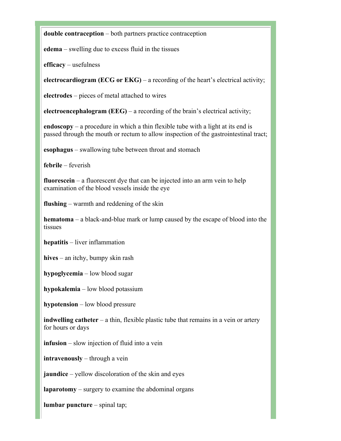**double contraception** – both partners practice contraception

**edema** – swelling due to excess fluid in the tissues

**efficacy** – usefulness

**electrocardiogram (ECG or EKG)** – a recording of the heart's electrical activity;

**electrodes** – pieces of metal attached to wires

**electroencephalogram (EEG)** – a recording of the brain's electrical activity;

**endoscopy** – a procedure in which a thin flexible tube with a light at its end is passed through the mouth or rectum to allow inspection of the gastrointestinal tract;

**esophagus** – swallowing tube between throat and stomach

**febrile** – feverish

**fluorescein** – a fluorescent dye that can be injected into an arm vein to help examination of the blood vessels inside the eye

**flushing** – warmth and reddening of the skin

**hematoma** – a black-and-blue mark or lump caused by the escape of blood into the tissues

**hepatitis** – liver inflammation

**hives** – an itchy, bumpy skin rash

**hypoglycemia** – low blood sugar

**hypokalemia** – low blood potassium

**hypotension** – low blood pressure

**indwelling catheter** – a thin, flexible plastic tube that remains in a vein or artery for hours or days

**infusion** – slow injection of fluid into a vein

**intravenously** – through a vein

**jaundice** – yellow discoloration of the skin and eyes

**laparotomy** – surgery to examine the abdominal organs

**lumbar puncture** – spinal tap;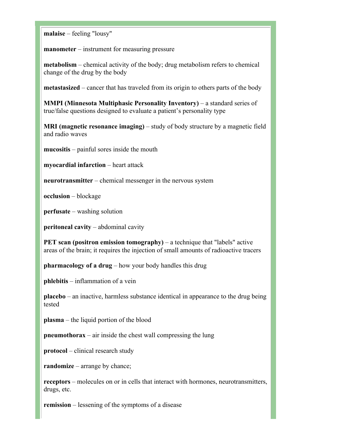**malaise** – feeling "lousy"

**manometer** – instrument for measuring pressure

**metabolism** – chemical activity of the body; drug metabolism refers to chemical change of the drug by the body

**metastasized** – cancer that has traveled from its origin to others parts of the body

**MMPI (Minnesota Multiphasic Personality Inventory)** – a standard series of true/false questions designed to evaluate a patient's personality type

**MRI (magnetic resonance imaging)** – study of body structure by a magnetic field and radio waves

**mucositis** – painful sores inside the mouth

**myocardial infarction** – heart attack

**neurotransmitter** – chemical messenger in the nervous system

**occlusion** – blockage

**perfusate** – washing solution

**peritoneal cavity** – abdominal cavity

**PET scan (positron emission tomography)** – a technique that "labels" active areas of the brain; it requires the injection of small amounts of radioactive tracers

**pharmacology of a drug** – how your body handles this drug

**phlebitis** – inflammation of a vein

**placebo** – an inactive, harmless substance identical in appearance to the drug being tested

**plasma** – the liquid portion of the blood

**pneumothorax** – air inside the chest wall compressing the lung

**protocol** – clinical research study

**randomize** – arrange by chance;

**receptors** – molecules on or in cells that interact with hormones, neurotransmitters, drugs, etc.

**remission** – lessening of the symptoms of a disease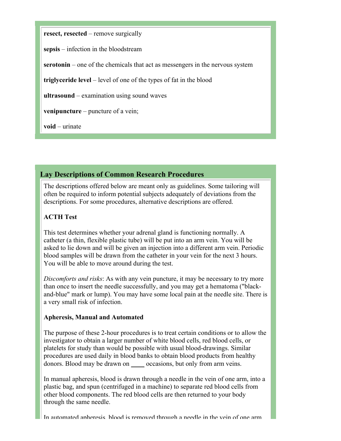**resect, resected** – remove surgically

**sepsis** – infection in the bloodstream

**serotonin** – one of the chemicals that act as messengers in the nervous system

**triglyceride level** – level of one of the types of fat in the blood

**ultrasound** – examination using sound waves

**venipuncture** – puncture of a vein;

**void** – urinate

## **Lay Descriptions of Common Research Procedures**

The descriptions offered below are meant only as guidelines. Some tailoring will often be required to inform potential subjects adequately of deviations from the descriptions. For some procedures, alternative descriptions are offered.

## **ACTH Test**

This test determines whether your adrenal gland is functioning normally. A catheter (a thin, flexible plastic tube) will be put into an arm vein. You will be asked to lie down and will be given an injection into a different arm vein. Periodic blood samples will be drawn from the catheter in your vein for the next 3 hours. You will be able to move around during the test.

*Discomforts and risks*: As with any vein puncture, it may be necessary to try more than once to insert the needle successfully, and you may get a hematoma ("blackand-blue" mark or lump). You may have some local pain at the needle site. There is a very small risk of infection.

#### **Apheresis, Manual and Automated**

The purpose of these 2-hour procedures is to treat certain conditions or to allow the investigator to obtain a larger number of white blood cells, red blood cells, or platelets for study than would be possible with usual blood-drawings. Similar procedures are used daily in blood banks to obtain blood products from healthy donors. Blood may be drawn on occasions, but only from arm veins.

In manual apheresis, blood is drawn through a needle in the vein of one arm, into a plastic bag, and spun (centrifuged in a machine) to separate red blood cells from other blood components. The red blood cells are then returned to your body through the same needle.

In automated apheresis, blood is removed through a needle in the vein of one arm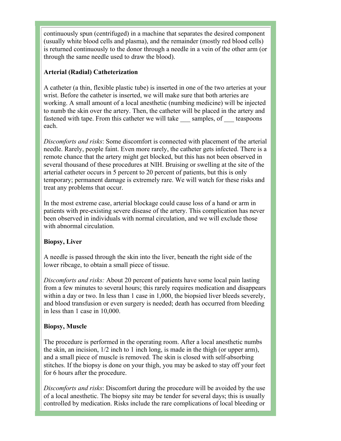continuously spun (centrifuged) in a machine that separates the desired component (usually white blood cells and plasma), and the remainder (mostly red blood cells) is returned continuously to the donor through a needle in a vein of the other arm (or through the same needle used to draw the blood).

## **Arterial (Radial) Catheterization**

A catheter (a thin, flexible plastic tube) is inserted in one of the two arteries at your wrist. Before the catheter is inserted, we will make sure that both arteries are working. A small amount of a local anesthetic (numbing medicine) will be injected to numb the skin over the artery. Then, the catheter will be placed in the artery and fastened with tape. From this catheter we will take samples, of teaspoons each.

*Discomforts and risks*: Some discomfort is connected with placement of the arterial needle. Rarely, people faint. Even more rarely, the catheter gets infected. There is a remote chance that the artery might get blocked, but this has not been observed in several thousand of these procedures at NIH. Bruising or swelling at the site of the arterial catheter occurs in 5 percent to 20 percent of patients, but this is only temporary; permanent damage is extremely rare. We will watch for these risks and treat any problems that occur.

In the most extreme case, arterial blockage could cause loss of a hand or arm in patients with pre-existing severe disease of the artery. This complication has never been observed in individuals with normal circulation, and we will exclude those with abnormal circulation.

### **Biopsy, Liver**

A needle is passed through the skin into the liver, beneath the right side of the lower ribcage, to obtain a small piece of tissue.

*Discomforts and risks:* About 20 percent of patients have some local pain lasting from a few minutes to several hours; this rarely requires medication and disappears within a day or two. In less than 1 case in 1,000, the biopsied liver bleeds severely, and blood transfusion or even surgery is needed; death has occurred from bleeding in less than 1 case in 10,000.

### **Biopsy, Muscle**

The procedure is performed in the operating room. After a local anesthetic numbs the skin, an incision, 1/2 inch to 1 inch long, is made in the thigh (or upper arm), and a small piece of muscle is removed. The skin is closed with self-absorbing stitches. If the biopsy is done on your thigh, you may be asked to stay off your feet for 6 hours after the procedure.

*Discomforts and risks*: Discomfort during the procedure will be avoided by the use of a local anesthetic. The biopsy site may be tender for several days; this is usually controlled by medication. Risks include the rare complications of local bleeding or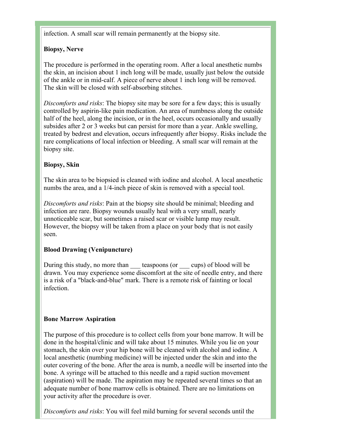infection. A small scar will remain permanently at the biopsy site.

# **Biopsy, Nerve**

The procedure is performed in the operating room. After a local anesthetic numbs the skin, an incision about 1 inch long will be made, usually just below the outside of the ankle or in mid-calf. A piece of nerve about 1 inch long will be removed. The skin will be closed with self-absorbing stitches.

*Discomforts and risks*: The biopsy site may be sore for a few days; this is usually controlled by aspirin-like pain medication. An area of numbness along the outside half of the heel, along the incision, or in the heel, occurs occasionally and usually subsides after 2 or 3 weeks but can persist for more than a year. Ankle swelling, treated by bedrest and elevation, occurs infrequently after biopsy. Risks include the rare complications of local infection or bleeding. A small scar will remain at the biopsy site.

# **Biopsy, Skin**

The skin area to be biopsied is cleaned with iodine and alcohol. A local anesthetic numbs the area, and a 1/4-inch piece of skin is removed with a special tool.

*Discomforts and risks*: Pain at the biopsy site should be minimal; bleeding and infection are rare. Biopsy wounds usually heal with a very small, nearly unnoticeable scar, but sometimes a raised scar or visible lump may result. However, the biopsy will be taken from a place on your body that is not easily seen.

# **Blood Drawing (Venipuncture)**

During this study, no more than teaspoons (or cups) of blood will be drawn. You may experience some discomfort at the site of needle entry, and there is a risk of a "black-and-blue" mark. There is a remote risk of fainting or local infection.

# **Bone Marrow Aspiration**

The purpose of this procedure is to collect cells from your bone marrow. It will be done in the hospital/clinic and will take about 15 minutes. While you lie on your stomach, the skin over your hip bone will be cleaned with alcohol and iodine. A local anesthetic (numbing medicine) will be injected under the skin and into the outer covering of the bone. After the area is numb, a needle will be inserted into the bone. A syringe will be attached to this needle and a rapid suction movement (aspiration) will be made. The aspiration may be repeated several times so that an adequate number of bone marrow cells is obtained. There are no limitations on your activity after the procedure is over.

*Discomforts and risks*: You will feel mild burning for several seconds until the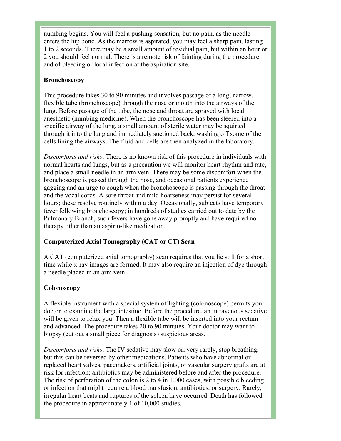numbing begins. You will feel a pushing sensation, but no pain, as the needle enters the hip bone. As the marrow is aspirated, you may feel a sharp pain, lasting 1 to 2 seconds. There may be a small amount of residual pain, but within an hour or 2 you should feel normal. There is a remote risk of fainting during the procedure and of bleeding or local infection at the aspiration site.

## **Bronchoscopy**

This procedure takes 30 to 90 minutes and involves passage of a long, narrow, flexible tube (bronchoscope) through the nose or mouth into the airways of the lung. Before passage of the tube, the nose and throat are sprayed with local anesthetic (numbing medicine). When the bronchoscope has been steered into a specific airway of the lung, a small amount of sterile water may be squirted through it into the lung and immediately suctioned back, washing off some of the cells lining the airways. The fluid and cells are then analyzed in the laboratory.

*Discomforts and risks*: There is no known risk of this procedure in individuals with normal hearts and lungs, but as a precaution we will monitor heart rhythm and rate, and place a small needle in an arm vein. There may be some discomfort when the bronchoscope is passed through the nose, and occasional patients experience gagging and an urge to cough when the bronchoscope is passing through the throat and the vocal cords. A sore throat and mild hoarseness may persist for several hours; these resolve routinely within a day. Occasionally, subjects have temporary fever following bronchoscopy; in hundreds of studies carried out to date by the Pulmonary Branch, such fevers have gone away promptly and have required no therapy other than an aspirin-like medication.

# **Computerized Axial Tomography (CAT or CT) Scan**

A CAT (computerized axial tomography) scan requires that you lie still for a short time while x-ray images are formed. It may also require an injection of dye through a needle placed in an arm vein.

### **Colonoscopy**

A flexible instrument with a special system of lighting (colonoscope) permits your doctor to examine the large intestine. Before the procedure, an intravenous sedative will be given to relax you. Then a flexible tube will be inserted into your rectum and advanced. The procedure takes 20 to 90 minutes. Your doctor may want to biopsy (cut out a small piece for diagnosis) suspicious areas.

*Discomforts and risks*: The IV sedative may slow or, very rarely, stop breathing, but this can be reversed by other medications. Patients who have abnormal or replaced heart valves, pacemakers, artificial joints, or vascular surgery grafts are at risk for infection; antibiotics may be administered before and after the procedure. The risk of perforation of the colon is 2 to 4 in 1,000 cases, with possible bleeding or infection that might require a blood transfusion, antibiotics, or surgery. Rarely, irregular heart beats and ruptures of the spleen have occurred. Death has followed the procedure in approximately 1 of 10,000 studies.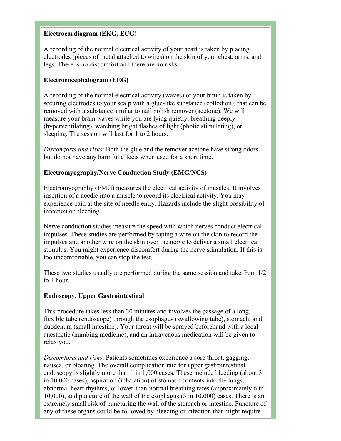### **Electrocardiogram (EKG, ECG)**

A recording of the normal electrical activity of your heart is taken by placing electrodes (pieces of metal attached to wires) on the skin of your chest, arms, and legs. There is no discomfort and there are no risks.

## **Electroencephalogram (EEG)**

A recording of the normal electrical activity (waves) of your brain is taken by securing electrodes to your scalp with a glue-like substance (collodion), that can be removed with a substance similar to nail polish remover (acetone). We will measure your brain waves while you are lying quietly, breathing deeply (hyperventilating), watching bright flashes of light (photic stimulating), or sleeping. The session will last for 1 to 2 hours.

*Discomforts and risks*: Both the glue and the remover acetone have strong odors but do not have any harmful effects when used for a short time.

### **Electromyography/Nerve Conduction Study (EMG/NCS)**

Electromyography (EMG) measures the electrical activity of muscles. It involves insertion of a needle into a muscle to record its electrical activity. You may experience pain at the site of needle entry. Hazards include the slight possibility of infection or bleeding.

Nerve conduction studies measure the speed with which nerves conduct electrical impulses. These studies are performed by taping a wire on the skin to record the impulses and another wire on the skin over the nerve to deliver a small electrical stimulus. You might experience discomfort during the nerve stimulation. If this is too uncomfortable, you can stop the test.

These two studies usually are performed during the same session and take from 1/2 to 1 hour.

### **Endoscopy, Upper Gastrointestinal**

This procedure takes less than 30 minutes and involves the passage of a long, flexible tube (endoscope) through the esophagus (swallowing tube), stomach, and duodenum (small intestine). Your throat will be sprayed beforehand with a local anesthetic (numbing medicine), and an intravenous medication will be given to relax you.

*Discomforts and risks*: Patients sometimes experience a sore throat, gagging, nausea, or bloating. The overall complication rate for upper gastrointestinal endoscopy is slightly more than 1 in 1,000 cases. These include bleeding (about 3 in 10,000 cases), aspiration (inhalation) of stomach contents into the lungs, abnormal heart rhythms, or lower-than-normal breathing rates (approximately 6 in 10,000), and puncture of the wall of the esophagus (3 in 10,000) cases. There is an extremely small risk of puncturing the wall of the stomach or intestine. Puncture of any of these organs could be followed by bleeding or infection that might require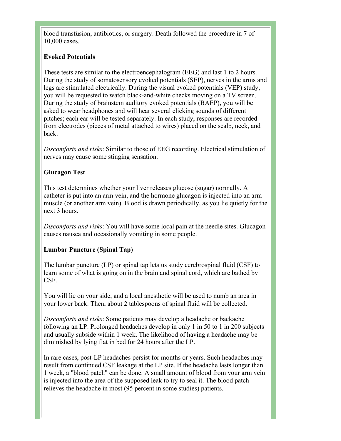blood transfusion, antibiotics, or surgery. Death followed the procedure in 7 of 10,000 cases.

## **Evoked Potentials**

These tests are similar to the electroencephalogram (EEG) and last 1 to 2 hours. During the study of somatosensory evoked potentials (SEP), nerves in the arms and legs are stimulated electrically. During the visual evoked potentials (VEP) study, you will be requested to watch black-and-white checks moving on a TV screen. During the study of brainstem auditory evoked potentials (BAEP), you will be asked to wear headphones and will hear several clicking sounds of different pitches; each ear will be tested separately. In each study, responses are recorded from electrodes (pieces of metal attached to wires) placed on the scalp, neck, and back.

*Discomforts and risks*: Similar to those of EEG recording. Electrical stimulation of nerves may cause some stinging sensation.

### **Glucagon Test**

This test determines whether your liver releases glucose (sugar) normally. A catheter is put into an arm vein, and the hormone glucagon is injected into an arm muscle (or another arm vein). Blood is drawn periodically, as you lie quietly for the next 3 hours.

*Discomforts and risks*: You will have some local pain at the needle sites. Glucagon causes nausea and occasionally vomiting in some people.

### **Lumbar Puncture (Spinal Tap)**

The lumbar puncture (LP) or spinal tap lets us study cerebrospinal fluid (CSF) to learn some of what is going on in the brain and spinal cord, which are bathed by CSF.

You will lie on your side, and a local anesthetic will be used to numb an area in your lower back. Then, about 2 tablespoons of spinal fluid will be collected.

*Discomforts and risks*: Some patients may develop a headache or backache following an LP. Prolonged headaches develop in only 1 in 50 to 1 in 200 subjects and usually subside within 1 week. The likelihood of having a headache may be diminished by lying flat in bed for 24 hours after the LP.

In rare cases, post-LP headaches persist for months or years. Such headaches may result from continued CSF leakage at the LP site. If the headache lasts longer than 1 week, a "blood patch" can be done. A small amount of blood from your arm vein is injected into the area of the supposed leak to try to seal it. The blood patch relieves the headache in most (95 percent in some studies) patients.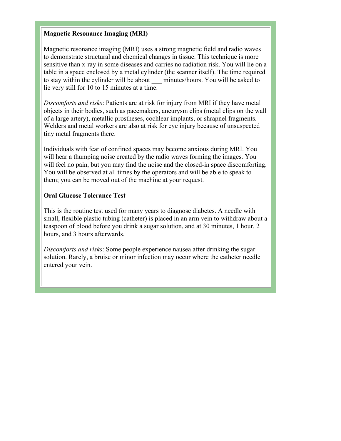#### **Magnetic Resonance Imaging (MRI)**

Magnetic resonance imaging (MRI) uses a strong magnetic field and radio waves to demonstrate structural and chemical changes in tissue. This technique is more sensitive than x-ray in some diseases and carries no radiation risk. You will lie on a table in a space enclosed by a metal cylinder (the scanner itself). The time required to stay within the cylinder will be about \_\_\_ minutes/hours. You will be asked to lie very still for 10 to 15 minutes at a time.

*Discomforts and risks*: Patients are at risk for injury from MRI if they have metal objects in their bodies, such as pacemakers, aneurysm clips (metal clips on the wall of a large artery), metallic prostheses, cochlear implants, or shrapnel fragments. Welders and metal workers are also at risk for eye injury because of unsuspected tiny metal fragments there.

Individuals with fear of confined spaces may become anxious during MRI. You will hear a thumping noise created by the radio waves forming the images. You will feel no pain, but you may find the noise and the closed-in space discomforting. You will be observed at all times by the operators and will be able to speak to them; you can be moved out of the machine at your request.

#### **Oral Glucose Tolerance Test**

This is the routine test used for many years to diagnose diabetes. A needle with small, flexible plastic tubing (catheter) is placed in an arm vein to withdraw about a teaspoon of blood before you drink a sugar solution, and at 30 minutes, 1 hour, 2 hours, and 3 hours afterwards.

*Discomforts and risks*: Some people experience nausea after drinking the sugar solution. Rarely, a bruise or minor infection may occur where the catheter needle entered your vein.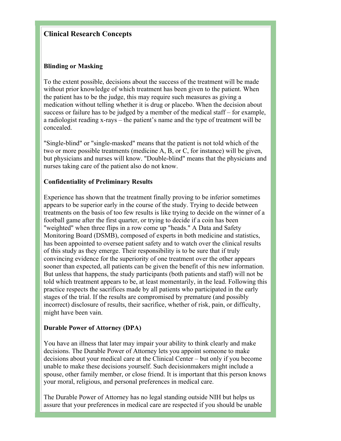## **Clinical Research Concepts**

#### **Blinding or Masking**

To the extent possible, decisions about the success of the treatment will be made without prior knowledge of which treatment has been given to the patient. When the patient has to be the judge, this may require such measures as giving a medication without telling whether it is drug or placebo. When the decision about success or failure has to be judged by a member of the medical staff – for example, a radiologist reading x-rays – the patient's name and the type of treatment will be concealed.

"Single-blind" or "single-masked" means that the patient is not told which of the two or more possible treatments (medicine A, B, or C, for instance) will be given, but physicians and nurses will know. "Double-blind" means that the physicians and nurses taking care of the patient also do not know.

#### **Confidentiality of Preliminary Results**

Experience has shown that the treatment finally proving to be inferior sometimes appears to be superior early in the course of the study. Trying to decide between treatments on the basis of too few results is like trying to decide on the winner of a football game after the first quarter, or trying to decide if a coin has been "weighted" when three flips in a row come up "heads." A Data and Safety Monitoring Board (DSMB), composed of experts in both medicine and statistics, has been appointed to oversee patient safety and to watch over the clinical results of this study as they emerge. Their responsibility is to be sure that if truly convincing evidence for the superiority of one treatment over the other appears sooner than expected, all patients can be given the benefit of this new information. But unless that happens, the study participants (both patients and staff) will not be told which treatment appears to be, at least momentarily, in the lead. Following this practice respects the sacrifices made by all patients who participated in the early stages of the trial. If the results are compromised by premature (and possibly incorrect) disclosure of results, their sacrifice, whether of risk, pain, or difficulty, might have been vain.

#### **Durable Power of Attorney (DPA)**

You have an illness that later may impair your ability to think clearly and make decisions. The Durable Power of Attorney lets you appoint someone to make decisions about your medical care at the Clinical Center – but only if you become unable to make these decisions yourself. Such decisionmakers might include a spouse, other family member, or close friend. It is important that this person knows your moral, religious, and personal preferences in medical care.

The Durable Power of Attorney has no legal standing outside NIH but helps us assure that your preferences in medical care are respected if you should be unable